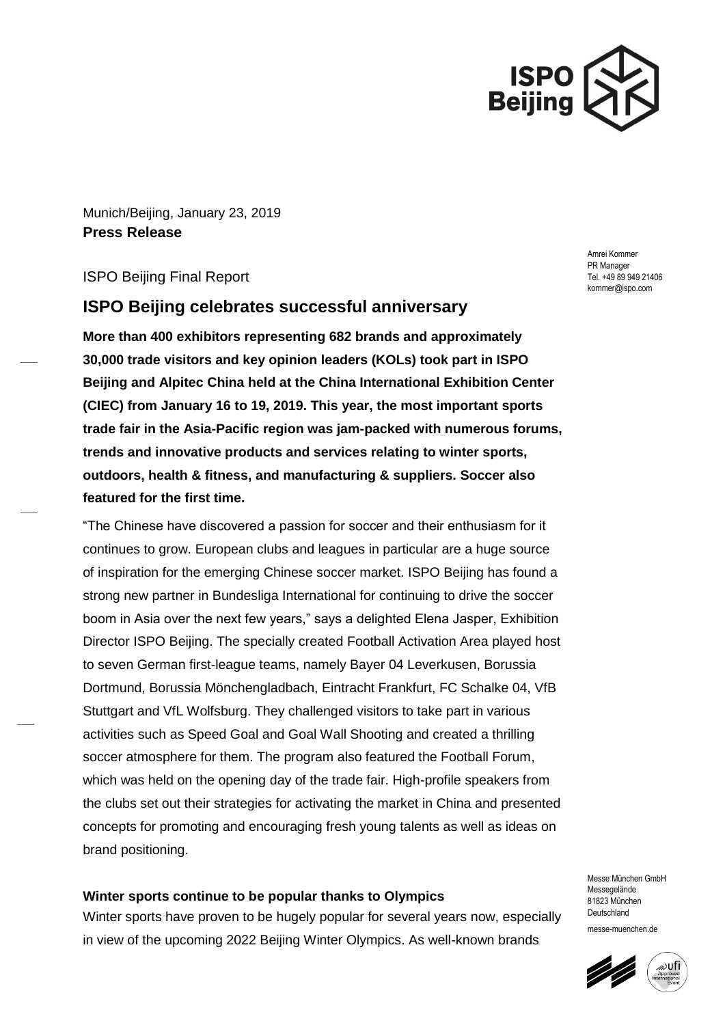

Munich/Beijing, January 23, 2019 **Press Release**

## ISPO Beijing Final Report

# **ISPO Beijing celebrates successful anniversary**

**More than 400 exhibitors representing 682 brands and approximately 30,000 trade visitors and key opinion leaders (KOLs) took part in ISPO Beijing and Alpitec China held at the China International Exhibition Center (CIEC) from January 16 to 19, 2019. This year, the most important sports trade fair in the Asia-Pacific region was jam-packed with numerous forums, trends and innovative products and services relating to winter sports, outdoors, health & fitness, and manufacturing & suppliers. Soccer also featured for the first time.**

"The Chinese have discovered a passion for soccer and their enthusiasm for it continues to grow. European clubs and leagues in particular are a huge source of inspiration for the emerging Chinese soccer market. ISPO Beijing has found a strong new partner in Bundesliga International for continuing to drive the soccer boom in Asia over the next few years," says a delighted Elena Jasper, Exhibition Director ISPO Beijing. The specially created Football Activation Area played host to seven German first-league teams, namely Bayer 04 Leverkusen, Borussia Dortmund, Borussia Mönchengladbach, Eintracht Frankfurt, FC Schalke 04, VfB Stuttgart and VfL Wolfsburg. They challenged visitors to take part in various activities such as Speed Goal and Goal Wall Shooting and created a thrilling soccer atmosphere for them. The program also featured the Football Forum, which was held on the opening day of the trade fair. High-profile speakers from the clubs set out their strategies for activating the market in China and presented concepts for promoting and encouraging fresh young talents as well as ideas on brand positioning.

#### **Winter sports continue to be popular thanks to Olympics**

Winter sports have proven to be hugely popular for several years now, especially in view of the upcoming 2022 Beijing Winter Olympics. As well-known brands

Amrei Kommer PR Manager Tel. +49 89 949 21406 kommer@ispo.com

Messe München GmbH Messegelände 81823 München Deutschland messe-muenchen.de

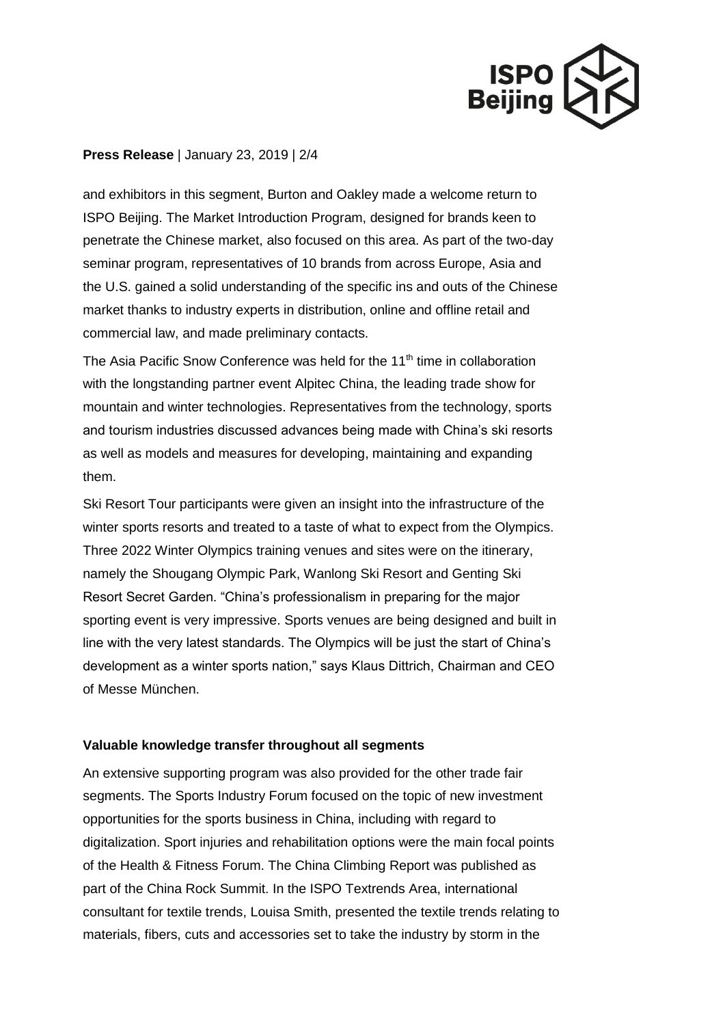

### **Press Release** | January 23, 2019 | 2/4

and exhibitors in this segment, Burton and Oakley made a welcome return to ISPO Beijing. The Market Introduction Program, designed for brands keen to penetrate the Chinese market, also focused on this area. As part of the two-day seminar program, representatives of 10 brands from across Europe, Asia and the U.S. gained a solid understanding of the specific ins and outs of the Chinese market thanks to industry experts in distribution, online and offline retail and commercial law, and made preliminary contacts.

The Asia Pacific Snow Conference was held for the 11<sup>th</sup> time in collaboration with the longstanding partner event Alpitec China, the leading trade show for mountain and winter technologies. Representatives from the technology, sports and tourism industries discussed advances being made with China's ski resorts as well as models and measures for developing, maintaining and expanding them.

Ski Resort Tour participants were given an insight into the infrastructure of the winter sports resorts and treated to a taste of what to expect from the Olympics. Three 2022 Winter Olympics training venues and sites were on the itinerary, namely the Shougang Olympic Park, Wanlong Ski Resort and Genting Ski Resort Secret Garden. "China's professionalism in preparing for the major sporting event is very impressive. Sports venues are being designed and built in line with the very latest standards. The Olympics will be just the start of China's development as a winter sports nation," says Klaus Dittrich, Chairman and CEO of Messe München.

### **Valuable knowledge transfer throughout all segments**

An extensive supporting program was also provided for the other trade fair segments. The Sports Industry Forum focused on the topic of new investment opportunities for the sports business in China, including with regard to digitalization. Sport injuries and rehabilitation options were the main focal points of the Health & Fitness Forum. The China Climbing Report was published as part of the China Rock Summit. In the ISPO Textrends Area, international consultant for textile trends, Louisa Smith, presented the textile trends relating to materials, fibers, cuts and accessories set to take the industry by storm in the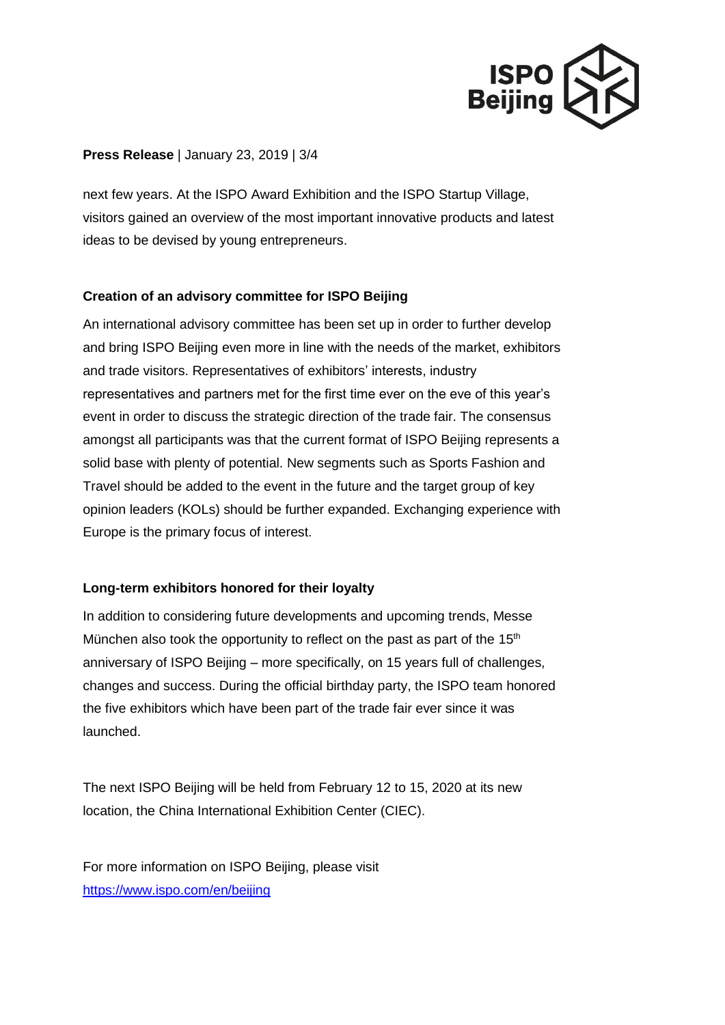

## **Press Release** | January 23, 2019 | 3/4

next few years. At the ISPO Award Exhibition and the ISPO Startup Village, visitors gained an overview of the most important innovative products and latest ideas to be devised by young entrepreneurs.

## **Creation of an advisory committee for ISPO Beijing**

An international advisory committee has been set up in order to further develop and bring ISPO Beijing even more in line with the needs of the market, exhibitors and trade visitors. Representatives of exhibitors' interests, industry representatives and partners met for the first time ever on the eve of this year's event in order to discuss the strategic direction of the trade fair. The consensus amongst all participants was that the current format of ISPO Beijing represents a solid base with plenty of potential. New segments such as Sports Fashion and Travel should be added to the event in the future and the target group of key opinion leaders (KOLs) should be further expanded. Exchanging experience with Europe is the primary focus of interest.

## **Long-term exhibitors honored for their loyalty**

In addition to considering future developments and upcoming trends, Messe München also took the opportunity to reflect on the past as part of the  $15<sup>th</sup>$ anniversary of ISPO Beijing – more specifically, on 15 years full of challenges, changes and success. During the official birthday party, the ISPO team honored the five exhibitors which have been part of the trade fair ever since it was launched.

The next ISPO Beijing will be held from February 12 to 15, 2020 at its new location, the China International Exhibition Center (CIEC).

For more information on ISPO Beijing, please visit <https://www.ispo.com/en/beijing>